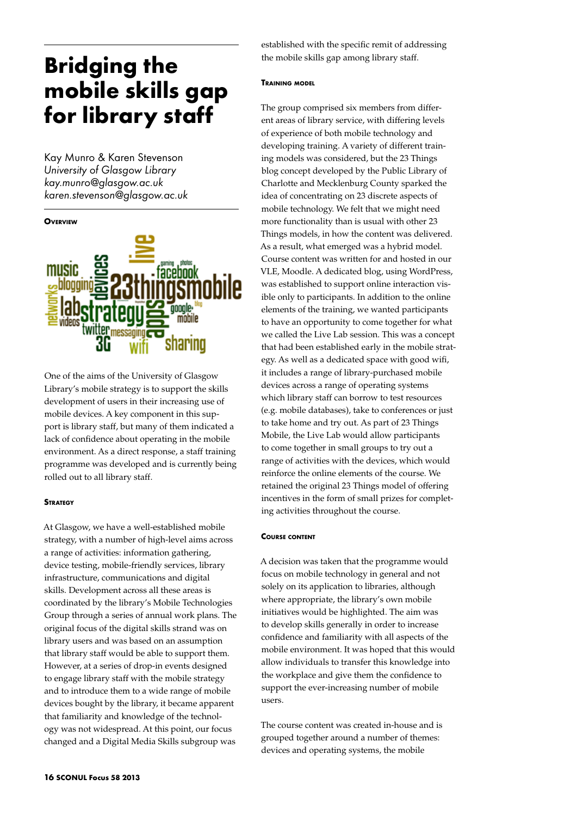# **Bridging the mobile skills gap for library staff**

Kay Munro & Karen Stevenson *University of Glasgow Library kay.munro@glasgow.ac.uk karen.stevenson@glasgow.ac.uk*



One of the aims of the University of Glasgow Library's mobile strategy is to support the skills development of users in their increasing use of mobile devices. A key component in this support is library staff, but many of them indicated a lack of confidence about operating in the mobile environment. As a direct response, a staff training programme was developed and is currently being rolled out to all library staff.

## **STRATEGY**

At Glasgow, we have a well-established mobile strategy, with a number of high-level aims across a range of activities: information gathering, device testing, mobile-friendly services, library infrastructure, communications and digital skills. Development across all these areas is coordinated by the library's Mobile Technologies Group through a series of annual work plans. The original focus of the digital skills strand was on library users and was based on an assumption that library staff would be able to support them. However, at a series of drop-in events designed to engage library staff with the mobile strategy and to introduce them to a wide range of mobile devices bought by the library, it became apparent that familiarity and knowledge of the technology was not widespread. At this point, our focus changed and a Digital Media Skills subgroup was

established with the specific remit of addressing the mobile skills gap among library staff.

#### **Training model**

The group comprised six members from different areas of library service, with differing levels of experience of both mobile technology and developing training. A variety of different training models was considered, but the 23 Things blog concept developed by the Public Library of Charlotte and Mecklenburg County sparked the idea of concentrating on 23 discrete aspects of mobile technology. We felt that we might need more functionality than is usual with other 23 Things models, in how the content was delivered. As a result, what emerged was a hybrid model. Course content was written for and hosted in our VLE, Moodle. A dedicated blog, using WordPress, was established to support online interaction visible only to participants. In addition to the online elements of the training, we wanted participants to have an opportunity to come together for what we called the Live Lab session. This was a concept that had been established early in the mobile strategy. As well as a dedicated space with good wifi, it includes a range of library-purchased mobile devices across a range of operating systems which library staff can borrow to test resources (e.g. mobile databases), take to conferences or just to take home and try out. As part of 23 Things Mobile, the Live Lab would allow participants to come together in small groups to try out a range of activities with the devices, which would reinforce the online elements of the course. We retained the original 23 Things model of offering incentives in the form of small prizes for completing activities throughout the course.

#### **Course content**

A decision was taken that the programme would focus on mobile technology in general and not solely on its application to libraries, although where appropriate, the library's own mobile initiatives would be highlighted. The aim was to develop skills generally in order to increase confidence and familiarity with all aspects of the mobile environment. It was hoped that this would allow individuals to transfer this knowledge into the workplace and give them the confidence to support the ever-increasing number of mobile users.

The course content was created in-house and is grouped together around a number of themes: devices and operating systems, the mobile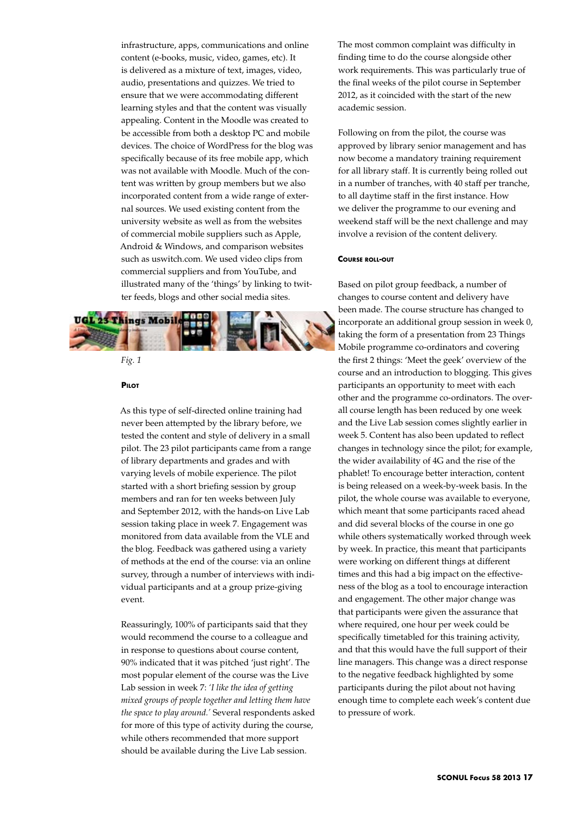infrastructure, apps, communications and online content (e-books, music, video, games, etc). It is delivered as a mixture of text, images, video, audio, presentations and quizzes. We tried to ensure that we were accommodating different learning styles and that the content was visually appealing. Content in the Moodle was created to be accessible from both a desktop PC and mobile devices. The choice of WordPress for the blog was specifically because of its free mobile app, which was not available with Moodle. Much of the content was written by group members but we also incorporated content from a wide range of external sources. We used existing content from the university website as well as from the websites of commercial mobile suppliers such as Apple, Android & Windows, and comparison websites such as uswitch.com. We used video clips from commercial suppliers and from YouTube, and illustrated many of the 'things' by linking to twitter feeds, blogs and other social media sites.



# *Fig. 1*

#### **Pilot**

As this type of self-directed online training had never been attempted by the library before, we tested the content and style of delivery in a small pilot. The 23 pilot participants came from a range of library departments and grades and with varying levels of mobile experience. The pilot started with a short briefing session by group members and ran for ten weeks between July and September 2012, with the hands-on Live Lab session taking place in week 7. Engagement was monitored from data available from the VLE and the blog. Feedback was gathered using a variety of methods at the end of the course: via an online survey, through a number of interviews with individual participants and at a group prize-giving event.

Reassuringly, 100% of participants said that they would recommend the course to a colleague and in response to questions about course content, 90% indicated that it was pitched 'just right'. The most popular element of the course was the Live Lab session in week 7: *'I like the idea of getting mixed groups of people together and letting them have the space to play around.'* Several respondents asked for more of this type of activity during the course, while others recommended that more support should be available during the Live Lab session.

The most common complaint was difficulty in finding time to do the course alongside other work requirements. This was particularly true of the final weeks of the pilot course in September 2012, as it coincided with the start of the new academic session.

Following on from the pilot, the course was approved by library senior management and has now become a mandatory training requirement for all library staff. It is currently being rolled out in a number of tranches, with 40 staff per tranche, to all daytime staff in the first instance. How we deliver the programme to our evening and weekend staff will be the next challenge and may involve a revision of the content delivery.

#### **Course roll-out**

Based on pilot group feedback, a number of changes to course content and delivery have been made. The course structure has changed to incorporate an additional group session in week 0, taking the form of a presentation from 23 Things Mobile programme co-ordinators and covering the first 2 things: 'Meet the geek' overview of the course and an introduction to blogging. This gives participants an opportunity to meet with each other and the programme co-ordinators. The overall course length has been reduced by one week and the Live Lab session comes slightly earlier in week 5. Content has also been updated to reflect changes in technology since the pilot; for example, the wider availability of 4G and the rise of the phablet! To encourage better interaction, content is being released on a week-by-week basis. In the pilot, the whole course was available to everyone, which meant that some participants raced ahead and did several blocks of the course in one go while others systematically worked through week by week. In practice, this meant that participants were working on different things at different times and this had a big impact on the effectiveness of the blog as a tool to encourage interaction and engagement. The other major change was that participants were given the assurance that where required, one hour per week could be specifically timetabled for this training activity, and that this would have the full support of their line managers. This change was a direct response to the negative feedback highlighted by some participants during the pilot about not having enough time to complete each week's content due to pressure of work.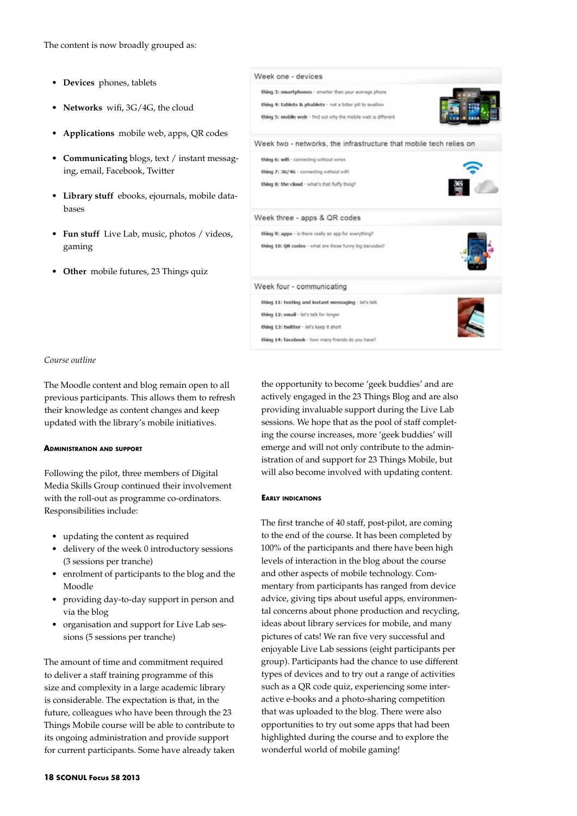- • **Devices** phones, tablets
- **Networks** wifi, 3G/4G, the cloud
- Applications mobile web, apps, QR codes
- • **Communicating** blogs, text / instant messaging, email, Facebook, Twitter
- • **Library stuff** ebooks, ejournals, mobile databases
- • **Fun stuff** Live Lab, music, photos / videos, gaming
- • **Other** mobile futures, 23 Things quiz



# *Course outline*

The Moodle content and blog remain open to all previous participants. This allows them to refresh their knowledge as content changes and keep updated with the library's mobile initiatives.

#### **Administration and support**

Following the pilot, three members of Digital Media Skills Group continued their involvement with the roll-out as programme co-ordinators. Responsibilities include:

- • updating the content as required
- delivery of the week 0 introductory sessions (3 sessions per tranche)
- enrolment of participants to the blog and the Moodle
- • providing day-to-day support in person and via the blog
- • organisation and support for Live Lab sessions (5 sessions per tranche)

The amount of time and commitment required to deliver a staff training programme of this size and complexity in a large academic library is considerable. The expectation is that, in the future, colleagues who have been through the 23 Things Mobile course will be able to contribute to its ongoing administration and provide support for current participants. Some have already taken the opportunity to become 'geek buddies' and are actively engaged in the 23 Things Blog and are also providing invaluable support during the Live Lab sessions. We hope that as the pool of staff completing the course increases, more 'geek buddies' will emerge and will not only contribute to the administration of and support for 23 Things Mobile, but will also become involved with updating content.

#### **Early indications**

The first tranche of 40 staff, post-pilot, are coming to the end of the course. It has been completed by 100% of the participants and there have been high levels of interaction in the blog about the course and other aspects of mobile technology. Commentary from participants has ranged from device advice, giving tips about useful apps, environmental concerns about phone production and recycling, ideas about library services for mobile, and many pictures of cats! We ran five very successful and enjoyable Live Lab sessions (eight participants per group). Participants had the chance to use different types of devices and to try out a range of activities such as a QR code quiz, experiencing some interactive e-books and a photo-sharing competition that was uploaded to the blog. There were also opportunities to try out some apps that had been highlighted during the course and to explore the wonderful world of mobile gaming!